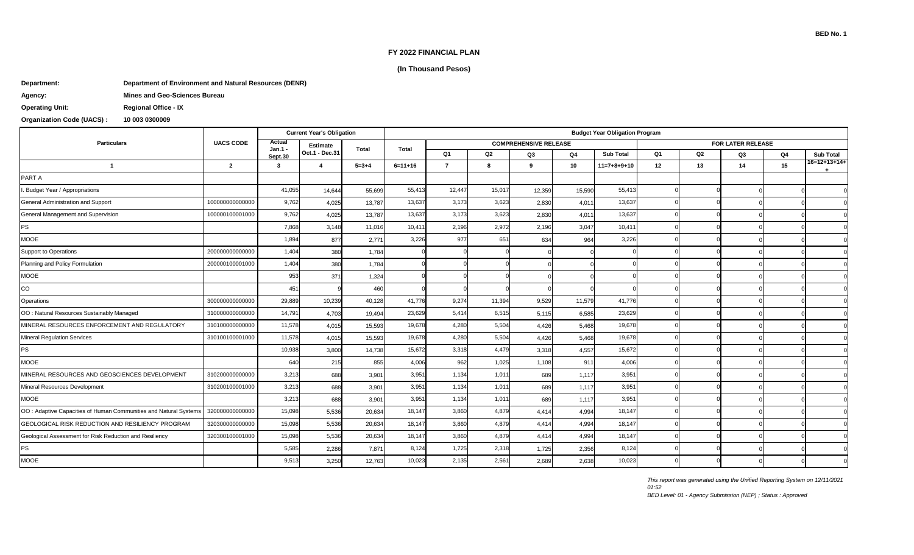#### **FY 2022 FINANCIAL PLAN**

## **(In Thousand Pesos)**

### **Department: Department of Environment and Natural Resources (DENR)**

| Agency: |  |
|---------|--|
|---------|--|

**Agency: Mines and Geo-Sciences Bureau Operating Unit: Regional Office - IX**

# **Organization Code (UACS) : 10 003 0300009**

|                                                                  | <b>UACS CODE</b> | <b>Current Year's Obligation</b> |                         |             | <b>Budget Year Obligation Program</b> |                |        |                              |        |                  |                   |                |    |    |                       |  |
|------------------------------------------------------------------|------------------|----------------------------------|-------------------------|-------------|---------------------------------------|----------------|--------|------------------------------|--------|------------------|-------------------|----------------|----|----|-----------------------|--|
| <b>Particulars</b>                                               |                  | Actual<br>Jan.1 ·                | <b>Estimate</b>         | Total       | <b>Total</b>                          |                |        | <b>COMPREHENSIVE RELEASE</b> |        |                  | FOR LATER RELEASE |                |    |    |                       |  |
|                                                                  |                  | Sept.30                          | Oct.1 - Dec.31          |             |                                       | Q <sub>1</sub> | Q2     | Q3                           | Q4     | <b>Sub Total</b> | Q <sub>1</sub>    | Q <sub>2</sub> | Q3 | Q4 | <b>Sub Total</b>      |  |
| $\overline{1}$                                                   | $\mathbf{2}$     | 3                                | $\overline{\mathbf{A}}$ | $5 - 3 + 4$ | $6=11+16$                             | $\overline{7}$ | 8      | 9                            | 10     | $11=7+8+9+10$    | 12                | 13             | 14 | 15 | $16 = 12 + 13 + 14 +$ |  |
| PART A                                                           |                  |                                  |                         |             |                                       |                |        |                              |        |                  |                   |                |    |    |                       |  |
| I. Budget Year / Appropriations                                  |                  | 41,055                           | 14,644                  | 55,699      | 55,413                                | 12,447         | 15,017 | 12,359                       | 15,590 | 55,413           |                   |                |    |    |                       |  |
| General Administration and Support                               | 100000000000000  | 9,762                            | 4,025                   | 13,787      | 13,637                                | 3,173          | 3,623  | 2,830                        | 4,011  | 13,637           |                   |                |    |    |                       |  |
| General Management and Supervision                               | 100000100001000  | 9,762                            | 4,025                   | 13,787      | 13,637                                | 3,173          | 3,623  | 2,830                        | 4,011  | 13,637           |                   |                |    |    |                       |  |
| PS                                                               |                  | 7,868                            | 3,148                   | 11,016      | 10,41                                 | 2,196          | 2,972  | 2,196                        | 3,047  | 10,411           |                   |                |    |    |                       |  |
| <b>MOOE</b>                                                      |                  | 1,894                            | 877                     | 2,771       | 3,226                                 | 977            | 651    | 634                          | 964    | 3,226            |                   |                |    |    |                       |  |
| Support to Operations                                            | 200000000000000  | 1,404                            | 380                     | 1,784       |                                       |                |        |                              |        |                  |                   |                |    |    |                       |  |
| Planning and Policy Formulation                                  | 200000100001000  | 1,404                            | 380                     | 1,784       |                                       |                |        |                              |        |                  |                   |                |    |    |                       |  |
| <b>MOOE</b>                                                      |                  | 953                              | 371                     | 1,324       |                                       |                |        |                              |        |                  |                   |                |    |    |                       |  |
| CO                                                               |                  | 451                              |                         | 460         |                                       |                |        |                              |        |                  |                   |                |    |    |                       |  |
| Operations                                                       | 300000000000000  | 29,889                           | 10,239                  | 40,128      | 41,776                                | 9,274          | 11,394 | 9,529                        | 11,579 | 41,776           |                   |                |    |    |                       |  |
| OO: Natural Resources Sustainably Managed                        | 310000000000000  | 14,791                           | 4,703                   | 19,494      | 23,629                                | 5,414          | 6,515  | 5,115                        | 6,585  | 23,629           |                   |                |    |    |                       |  |
| MINERAL RESOURCES ENFORCEMENT AND REGULATORY                     | 310100000000000  | 11,578                           | 4,015                   | 15,593      | 19,678                                | 4,280          | 5,504  | 4,426                        | 5,468  | 19,678           |                   |                |    |    |                       |  |
| <b>Mineral Regulation Services</b>                               | 310100100001000  | 11,578                           | 4,015                   | 15,593      | 19,678                                | 4,280          | 5,504  | 4,426                        | 5,468  | 19,678           |                   |                |    |    |                       |  |
| PS                                                               |                  | 10,938                           | 3,800                   | 14,738      | 15,672                                | 3,318          | 4,479  | 3,318                        | 4,557  | 15,672           |                   |                |    |    |                       |  |
| <b>MOOE</b>                                                      |                  | 640                              | 215                     | 855         | 4,006                                 | 962            | 1,025  | 1,108                        | 911    | 4,006            |                   |                |    |    |                       |  |
| MINERAL RESOURCES AND GEOSCIENCES DEVELOPMENT                    | 310200000000000  | 3,213                            | 688                     | 3,901       | 3,951                                 | 1,134          | 1,01   | 689                          | 1,117  | 3,951            |                   |                |    |    |                       |  |
| Mineral Resources Development                                    | 310200100001000  | 3,213                            | 688                     | 3,901       | 3,951                                 | 1,134          | 1,01   | 689                          | 1,117  | 3,951            |                   |                |    |    |                       |  |
| <b>MOOE</b>                                                      |                  | 3,213                            | 688                     | 3,901       | 3,951                                 | 1,134          | 1,01   | 689                          | 1,117  | 3,951            |                   |                |    |    |                       |  |
| OO: Adaptive Capacities of Human Communities and Natural Systems | 320000000000000  | 15,098                           | 5,536                   | 20,634      | 18,147                                | 3,860          | 4,879  | 4,414                        | 4,994  | 18,147           |                   |                |    |    |                       |  |
| GEOLOGICAL RISK REDUCTION AND RESILIENCY PROGRAM                 | 320300000000000  | 15,098                           | 5,536                   | 20,634      | 18,147                                | 3,860          | 4,879  | 4,414                        | 4,994  | 18,147           |                   |                |    |    |                       |  |
| Geological Assessment for Risk Reduction and Resiliency          | 320300100001000  | 15,098                           | 5,536                   | 20,634      | 18,147                                | 3,860          | 4,879  | 4,414                        | 4,994  | 18,147           |                   |                |    |    |                       |  |
| <b>PS</b>                                                        |                  | 5,585                            | 2,286                   | 7,871       | 8,124                                 | 1,725          | 2,318  | 1,725                        | 2,356  | 8,124            |                   |                |    |    |                       |  |
| <b>MOOE</b>                                                      |                  | 9,513                            | 3,250                   | 12,763      | 10,023                                | 2,135          | 2,561  | 2,689                        | 2,638  | 10,023           |                   |                |    |    |                       |  |

*This report was generated using the Unified Reporting System on 12/11/2021* 

*01:52*

*BED Level: 01 - Agency Submission (NEP) ; Status : Approved*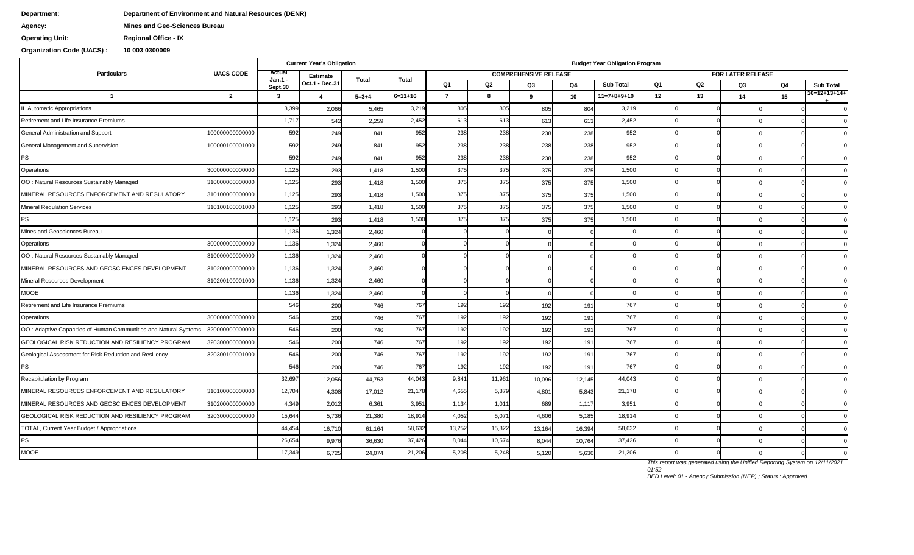## **Department: Department of Environment and Natural Resources (DENR)**

**Agency: Mines and Geo-Sciences Bureau**

**Operating Unit: Regional Office - IX**

**Organization Code (UACS) : 10 003 0300009**

|                                                                  |                  |                   | <b>Current Year's Obligation</b> |             | <b>Budget Year Obligation Program</b> |                |        |                              |        |                  |    |                   |    |    |                  |  |
|------------------------------------------------------------------|------------------|-------------------|----------------------------------|-------------|---------------------------------------|----------------|--------|------------------------------|--------|------------------|----|-------------------|----|----|------------------|--|
| <b>Particulars</b>                                               | <b>UACS CODE</b> | Actual<br>Jan.1 - | <b>Estimate</b>                  | Total       | Total                                 |                |        | <b>COMPREHENSIVE RELEASE</b> |        |                  |    | FOR LATER RELEASE |    |    |                  |  |
|                                                                  |                  | Sept.30           | Oct.1 - Dec.31                   |             |                                       | Q1             | Q2     | Q3                           | Q4     | <b>Sub Total</b> | Q1 | Q2                | Q3 | Q4 | <b>Sub Total</b> |  |
| $\mathbf{1}$                                                     | $\mathbf{2}$     | $\mathbf{3}$      | $\overline{a}$                   | $5 = 3 + 4$ | $6 = 11 + 16$                         | $\overline{7}$ | 8      | 9                            | 10     | $11=7+8+9+10$    | 12 | 13                | 14 | 15 | 16=12+13+14+     |  |
| II. Automatic Appropriations                                     |                  | 3,399             | 2,066                            | 5,465       | 3,219                                 | 805            | 805    | 805                          | 804    | 3,219            |    |                   |    |    |                  |  |
| Retirement and Life Insurance Premiums                           |                  | 1,717             | 542                              | 2,259       | 2,452                                 | 613            | 613    | 613                          | 613    | 2,452            |    |                   |    |    |                  |  |
| General Administration and Support                               | 100000000000000  | 592               | 249                              | 841         | 952                                   | 238            | 238    | 238                          | 238    | 952              |    |                   |    |    |                  |  |
| General Management and Supervision                               | 100000100001000  | 592               | 249                              | 841         | 952                                   | 238            | 238    | 238                          | 238    | 952              |    |                   |    |    |                  |  |
| PS                                                               |                  | 592               | 249                              | 841         | 952                                   | 238            | 238    | 238                          | 238    | 952              |    |                   |    |    |                  |  |
| Operations                                                       | 300000000000000  | 1,125             | 293                              | 1,418       | 1,500                                 | 375            | 375    | 375                          | 375    | 1,500            |    |                   |    |    |                  |  |
| OO: Natural Resources Sustainably Managed                        | 310000000000000  | 1,125             | 293                              | 1,418       | 1,500                                 | 375            | 375    | 375                          | 375    | 1,500            |    |                   |    |    |                  |  |
| MINERAL RESOURCES ENFORCEMENT AND REGULATORY                     | 310100000000000  | 1,125             | 293                              | 1,418       | 1,500                                 | 375            | 375    | 375                          | 375    | 1,500            |    |                   |    |    |                  |  |
| <b>Mineral Regulation Services</b>                               | 310100100001000  | 1,125             | 293                              | 1,418       | 1,500                                 | 375            | 375    | 375                          | 375    | 1,500            |    |                   |    |    |                  |  |
| <b>PS</b>                                                        |                  | 1,125             | 293                              | 1,418       | 1,500                                 | 375            | 375    | 375                          | 375    | 1,500            |    |                   |    |    |                  |  |
| Mines and Geosciences Bureau                                     |                  | 1,136             | 1,324                            | 2,460       |                                       |                |        |                              |        |                  |    |                   |    |    |                  |  |
| Operations                                                       | 300000000000000  | 1,136             | 1,324                            | 2,460       |                                       |                |        |                              |        |                  |    |                   |    |    |                  |  |
| OO: Natural Resources Sustainably Managed                        | 310000000000000  | 1,136             | 1,324                            | 2,460       |                                       |                |        |                              |        |                  |    |                   |    |    |                  |  |
| MINERAL RESOURCES AND GEOSCIENCES DEVELOPMENT                    | 310200000000000  | 1,136             | 1,324                            | 2,460       |                                       |                |        |                              |        |                  |    |                   |    |    |                  |  |
| Mineral Resources Development                                    | 310200100001000  | 1,136             | 1,324                            | 2,460       |                                       |                |        |                              |        |                  |    |                   |    |    |                  |  |
| <b>MOOE</b>                                                      |                  | 1,136             | 1,324                            | 2,460       |                                       |                |        |                              |        |                  |    |                   |    |    |                  |  |
| Retirement and Life Insurance Premiums                           |                  | 546               | 200                              | 746         | 767                                   | 192            | 192    | 192                          | 191    | 767              |    |                   |    |    |                  |  |
| Operations                                                       | 300000000000000  | 546               | 200                              | 746         | 767                                   | 192            | 192    | 192                          | 191    | 767              |    |                   |    |    |                  |  |
| OO: Adaptive Capacities of Human Communities and Natural Systems | 320000000000000  | 546               | 200                              | 746         | 767                                   | 192            | 192    | 192                          | 191    | 767              |    |                   |    |    |                  |  |
| GEOLOGICAL RISK REDUCTION AND RESILIENCY PROGRAM                 | 320300000000000  | 546               | 200                              | 746         | 767                                   | 192            | 192    | 192                          | 191    | 767              |    |                   |    |    |                  |  |
| Geological Assessment for Risk Reduction and Resiliency          | 320300100001000  | 546               | 200                              | 746         | 767                                   | 192            | 192    | 192                          | 191    | 767              |    |                   |    |    |                  |  |
| PS                                                               |                  | 546               | 200                              | 746         | 767                                   | 192            | 192    | 192                          | 191    | 767              |    |                   |    |    |                  |  |
| Recapitulation by Program                                        |                  | 32,697            | 12,056                           | 44,753      | 44,043                                | 9,841          | 11,961 | 10,096                       | 12,145 | 44,043           |    |                   |    |    |                  |  |
| MINERAL RESOURCES ENFORCEMENT AND REGULATORY                     | 310100000000000  | 12,704            | 4,308                            | 17,012      | 21,178                                | 4,655          | 5,879  | 4,801                        | 5,843  | 21,178           |    |                   |    |    |                  |  |
| MINERAL RESOURCES AND GEOSCIENCES DEVELOPMENT                    | 310200000000000  | 4,349             | 2,012                            | 6,361       | 3,951                                 | 1,134          | 1,011  | 689                          | 1,117  | 3,951            |    |                   |    |    |                  |  |
| GEOLOGICAL RISK REDUCTION AND RESILIENCY PROGRAM                 | 320300000000000  | 15,644            | 5,736                            | 21,380      | 18,914                                | 4,052          | 5,071  | 4,606                        | 5,185  | 18,914           |    |                   |    |    |                  |  |
| TOTAL, Current Year Budget / Appropriations                      |                  | 44,454            | 16,710                           | 61,164      | 58,632                                | 13,252         | 15,822 | 13,164                       | 16,394 | 58,632           |    |                   |    |    |                  |  |
| <b>PS</b>                                                        |                  | 26,654            | 9,976                            | 36,630      | 37,426                                | 8,044          | 10,574 | 8,044                        | 10,764 | 37,426           |    |                   |    |    |                  |  |
| <b>MOOE</b>                                                      |                  | 17,349            | 6,725                            | 24,074      | 21,206                                | 5,208          | 5,248  | 5,120                        | 5,630  | 21,206           |    |                   |    |    |                  |  |

*01:52*

*BED Level: 01 - Agency Submission (NEP) ; Status : Approved*